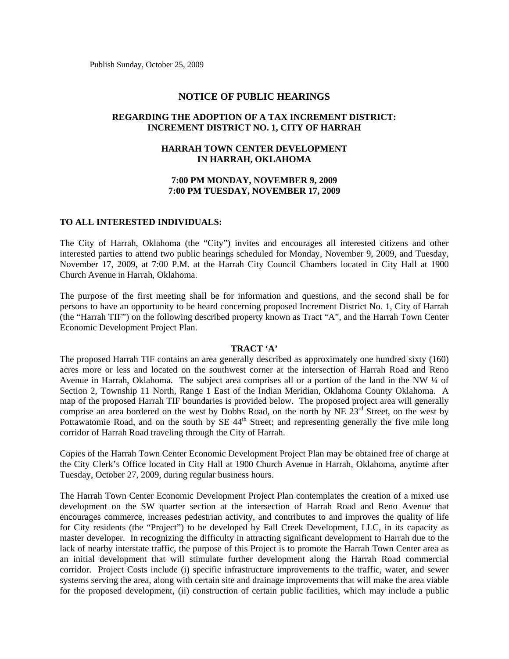Publish Sunday, October 25, 2009

### **NOTICE OF PUBLIC HEARINGS**

## **REGARDING THE ADOPTION OF A TAX INCREMENT DISTRICT: INCREMENT DISTRICT NO. 1, CITY OF HARRAH**

# **HARRAH TOWN CENTER DEVELOPMENT IN HARRAH, OKLAHOMA**

## **7:00 PM MONDAY, NOVEMBER 9, 2009 7:00 PM TUESDAY, NOVEMBER 17, 2009**

#### **TO ALL INTERESTED INDIVIDUALS:**

The City of Harrah, Oklahoma (the "City") invites and encourages all interested citizens and other interested parties to attend two public hearings scheduled for Monday, November 9, 2009, and Tuesday, November 17, 2009, at 7:00 P.M. at the Harrah City Council Chambers located in City Hall at 1900 Church Avenue in Harrah, Oklahoma.

The purpose of the first meeting shall be for information and questions, and the second shall be for persons to have an opportunity to be heard concerning proposed Increment District No. 1, City of Harrah (the "Harrah TIF") on the following described property known as Tract "A", and the Harrah Town Center Economic Development Project Plan.

#### **TRACT 'A'**

The proposed Harrah TIF contains an area generally described as approximately one hundred sixty (160) acres more or less and located on the southwest corner at the intersection of Harrah Road and Reno Avenue in Harrah, Oklahoma. The subject area comprises all or a portion of the land in the NW ¼ of Section 2, Township 11 North, Range 1 East of the Indian Meridian, Oklahoma County Oklahoma. A map of the proposed Harrah TIF boundaries is provided below. The proposed project area will generally comprise an area bordered on the west by Dobbs Road, on the north by NE  $23<sup>rd</sup>$  Street, on the west by Pottawatomie Road, and on the south by SE 44<sup>th</sup> Street; and representing generally the five mile long corridor of Harrah Road traveling through the City of Harrah.

Copies of the Harrah Town Center Economic Development Project Plan may be obtained free of charge at the City Clerk's Office located in City Hall at 1900 Church Avenue in Harrah, Oklahoma, anytime after Tuesday, October 27, 2009, during regular business hours.

The Harrah Town Center Economic Development Project Plan contemplates the creation of a mixed use development on the SW quarter section at the intersection of Harrah Road and Reno Avenue that encourages commerce, increases pedestrian activity, and contributes to and improves the quality of life for City residents (the "Project") to be developed by Fall Creek Development, LLC, in its capacity as master developer. In recognizing the difficulty in attracting significant development to Harrah due to the lack of nearby interstate traffic, the purpose of this Project is to promote the Harrah Town Center area as an initial development that will stimulate further development along the Harrah Road commercial corridor. Project Costs include (i) specific infrastructure improvements to the traffic, water, and sewer systems serving the area, along with certain site and drainage improvements that will make the area viable for the proposed development, (ii) construction of certain public facilities, which may include a public